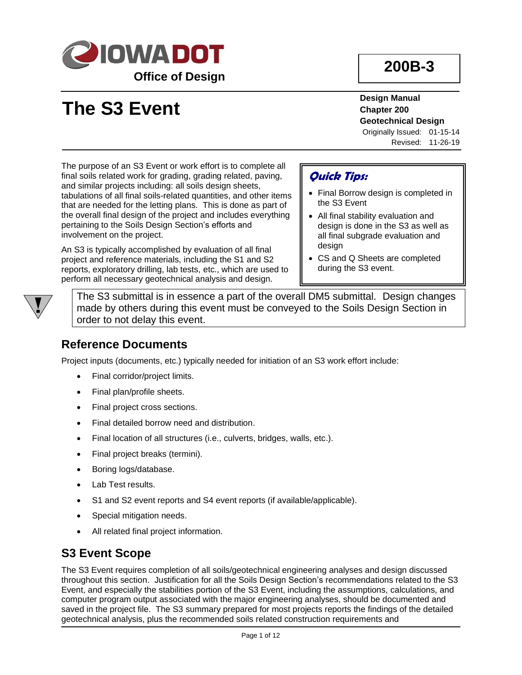

# **200B-3**

# **The S3 Event**

**Design Manual Chapter 200 Geotechnical Design**

Originally Issued: 01-15-14 Revised: 11-26-19

The purpose of an S3 Event or work effort is to complete all final soils related work for grading, grading related, paving, and similar projects including: all soils design sheets, tabulations of all final soils-related quantities, and other items that are needed for the letting plans. This is done as part of the overall final design of the project and includes everything pertaining to the Soils Design Section's efforts and involvement on the project.

An S3 is typically accomplished by evaluation of all final project and reference materials, including the S1 and S2 reports, exploratory drilling, lab tests, etc., which are used to perform all necessary geotechnical analysis and design.

#### **Quick Tips:**

- Final Borrow design is completed in the S3 Event
- All final stability evaluation and design is done in the S3 as well as all final subgrade evaluation and design
- CS and Q Sheets are completed during the S3 event.

The S3 submittal is in essence a part of the overall DM5 submittal. Design changes made by others during this event must be conveyed to the Soils Design Section in order to not delay this event.

#### **Reference Documents**

Project inputs (documents, etc.) typically needed for initiation of an S3 work effort include:

- Final corridor/project limits.
- Final plan/profile sheets.
- Final project cross sections.
- Final detailed borrow need and distribution.
- Final location of all structures (i.e., culverts, bridges, walls, etc.).
- Final project breaks (termini).
- Boring logs/database.
- Lab Test results.
- S1 and S2 event reports and S4 event reports (if available/applicable).
- Special mitigation needs.
- All related final project information.

#### **S3 Event Scope**

The S3 Event requires completion of all soils/geotechnical engineering analyses and design discussed throughout this section. Justification for all the Soils Design Section's recommendations related to the S3 Event, and especially the stabilities portion of the S3 Event, including the assumptions, calculations, and computer program output associated with the major engineering analyses, should be documented and saved in the project file. The S3 summary prepared for most projects reports the findings of the detailed geotechnical analysis, plus the recommended soils related construction requirements and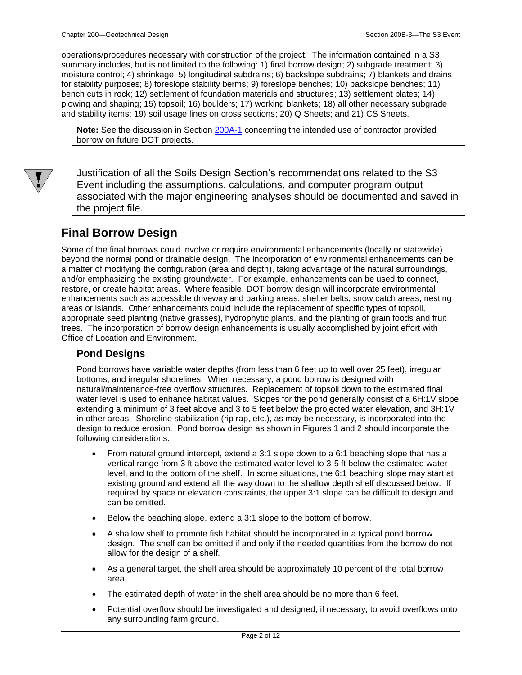operations/procedures necessary with construction of the project. The information contained in a S3 summary includes, but is not limited to the following: 1) final borrow design; 2) subgrade treatment; 3) moisture control; 4) shrinkage; 5) longitudinal subdrains; 6) backslope subdrains; 7) blankets and drains for stability purposes; 8) foreslope stability berms; 9) foreslope benches; 10) backslope benches; 11) bench cuts in rock; 12) settlement of foundation materials and structures; 13) settlement plates; 14) plowing and shaping; 15) topsoil; 16) boulders; 17) working blankets; 18) all other necessary subgrade and stability items; 19) soil usage lines on cross sections; 20) Q Sheets; and 21) CS Sheets.

Note: See the discussion in Section [200A-1](200A-01.pdf) concerning the intended use of contractor provided borrow on future DOT projects.



Justification of all the Soils Design Section's recommendations related to the S3 Event including the assumptions, calculations, and computer program output associated with the major engineering analyses should be documented and saved in the project file.

#### **Final Borrow Design**

Some of the final borrows could involve or require environmental enhancements (locally or statewide) beyond the normal pond or drainable design. The incorporation of environmental enhancements can be a matter of modifying the configuration (area and depth), taking advantage of the natural surroundings, and/or emphasizing the existing groundwater. For example, enhancements can be used to connect, restore, or create habitat areas. Where feasible, DOT borrow design will incorporate environmental enhancements such as accessible driveway and parking areas, shelter belts, snow catch areas, nesting areas or islands. Other enhancements could include the replacement of specific types of topsoil, appropriate seed planting (native grasses), hydrophytic plants, and the planting of grain foods and fruit trees. The incorporation of borrow design enhancements is usually accomplished by joint effort with Office of Location and Environment.

#### **Pond Designs**

Pond borrows have variable water depths (from less than 6 feet up to well over 25 feet), irregular bottoms, and irregular shorelines. When necessary, a pond borrow is designed with natural/maintenance-free overflow structures. Replacement of topsoil down to the estimated final water level is used to enhance habitat values. Slopes for the pond generally consist of a 6H:1V slope extending a minimum of 3 feet above and 3 to 5 feet below the projected water elevation, and 3H:1V in other areas. Shoreline stabilization (rip rap, etc.), as may be necessary, is incorporated into the design to reduce erosion. Pond borrow design as shown in Figures 1 and 2 should incorporate the following considerations:

- From natural ground intercept, extend a 3:1 slope down to a 6:1 beaching slope that has a vertical range from 3 ft above the estimated water level to 3-5 ft below the estimated water level, and to the bottom of the shelf. In some situations, the 6:1 beaching slope may start at existing ground and extend all the way down to the shallow depth shelf discussed below. If required by space or elevation constraints, the upper 3:1 slope can be difficult to design and can be omitted.
- Below the beaching slope, extend a 3:1 slope to the bottom of borrow.
- A shallow shelf to promote fish habitat should be incorporated in a typical pond borrow design. The shelf can be omitted if and only if the needed quantities from the borrow do not allow for the design of a shelf.
- As a general target, the shelf area should be approximately 10 percent of the total borrow area.
- The estimated depth of water in the shelf area should be no more than 6 feet.
- Potential overflow should be investigated and designed, if necessary, to avoid overflows onto any surrounding farm ground.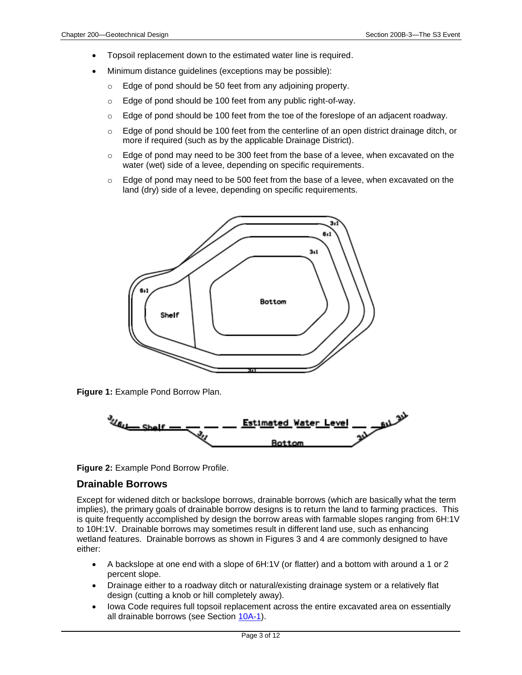- Topsoil replacement down to the estimated water line is required.
- Minimum distance guidelines (exceptions may be possible):
	- o Edge of pond should be 50 feet from any adjoining property.
	- o Edge of pond should be 100 feet from any public right-of-way.
	- $\circ$  Edge of pond should be 100 feet from the toe of the foreslope of an adjacent roadway.
	- $\circ$  Edge of pond should be 100 feet from the centerline of an open district drainage ditch, or more if required (such as by the applicable Drainage District).
	- $\circ$  Edge of pond may need to be 300 feet from the base of a levee, when excavated on the water (wet) side of a levee, depending on specific requirements.
	- $\circ$  Edge of pond may need to be 500 feet from the base of a levee, when excavated on the land (dry) side of a levee, depending on specific requirements.



**Figure 1:** Example Pond Borrow Plan.



**Figure 2:** Example Pond Borrow Profile.

#### **Drainable Borrows**

Except for widened ditch or backslope borrows, drainable borrows (which are basically what the term implies), the primary goals of drainable borrow designs is to return the land to farming practices. This is quite frequently accomplished by design the borrow areas with farmable slopes ranging from 6H:1V to 10H:1V. Drainable borrows may sometimes result in different land use, such as enhancing wetland features. Drainable borrows as shown in Figures 3 and 4 are commonly designed to have either:

- A backslope at one end with a slope of 6H:1V (or flatter) and a bottom with around a 1 or 2 percent slope.
- Drainage either to a roadway ditch or natural/existing drainage system or a relatively flat design (cutting a knob or hill completely away).
- Iowa Code requires full topsoil replacement across the entire excavated area on essentially all drainable borrows (see Section [10A-1\)](10A-01.pdf).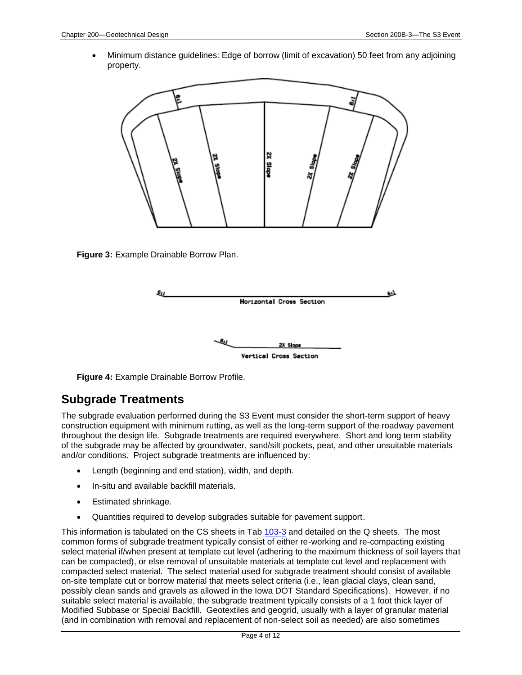• Minimum distance guidelines: Edge of borrow (limit of excavation) 50 feet from any adjoining property.



**Figure 3:** Example Drainable Borrow Plan.



**Figure 4:** Example Drainable Borrow Profile.

#### **Subgrade Treatments**

The subgrade evaluation performed during the S3 Event must consider the short-term support of heavy construction equipment with minimum rutting, as well as the long-term support of the roadway pavement throughout the design life. Subgrade treatments are required everywhere. Short and long term stability of the subgrade may be affected by groundwater, sand/silt pockets, peat, and other unsuitable materials and/or conditions. Project subgrade treatments are influenced by:

- Length (beginning and end station), width, and depth.
- In-situ and available backfill materials.
- Estimated shrinkage.
- Quantities required to develop subgrades suitable for pavement support.

This information is tabulated on the CS sheets in Tab [103-3](../tnt/PDFsandWebFiles/IndividualPDFs/0103-03.PDF) and detailed on the Q sheets. The most common forms of subgrade treatment typically consist of either re-working and re-compacting existing select material if/when present at template cut level (adhering to the maximum thickness of soil layers that can be compacted), or else removal of unsuitable materials at template cut level and replacement with compacted select material. The select material used for subgrade treatment should consist of available on-site template cut or borrow material that meets select criteria (i.e., lean glacial clays, clean sand, possibly clean sands and gravels as allowed in the Iowa DOT Standard Specifications). However, if no suitable select material is available, the subgrade treatment typically consists of a 1 foot thick layer of Modified Subbase or Special Backfill. Geotextiles and geogrid, usually with a layer of granular material (and in combination with removal and replacement of non-select soil as needed) are also sometimes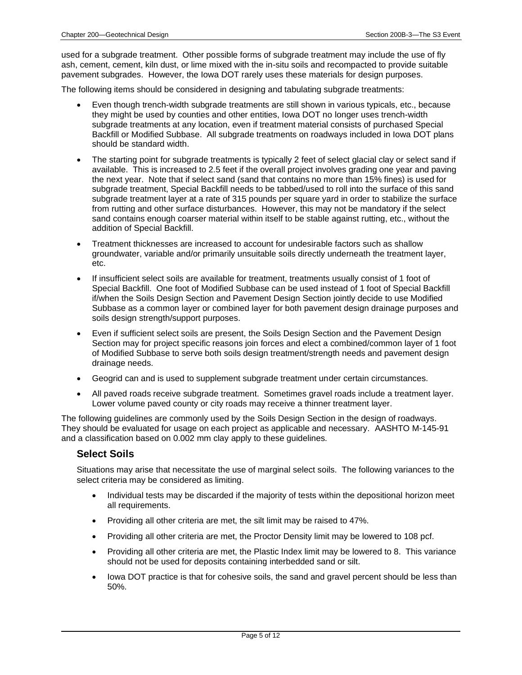used for a subgrade treatment. Other possible forms of subgrade treatment may include the use of fly ash, cement, cement, kiln dust, or lime mixed with the in-situ soils and recompacted to provide suitable pavement subgrades. However, the Iowa DOT rarely uses these materials for design purposes.

The following items should be considered in designing and tabulating subgrade treatments:

- Even though trench-width subgrade treatments are still shown in various typicals, etc., because they might be used by counties and other entities, Iowa DOT no longer uses trench-width subgrade treatments at any location, even if treatment material consists of purchased Special Backfill or Modified Subbase. All subgrade treatments on roadways included in Iowa DOT plans should be standard width.
- The starting point for subgrade treatments is typically 2 feet of select glacial clay or select sand if available. This is increased to 2.5 feet if the overall project involves grading one year and paving the next year. Note that if select sand (sand that contains no more than 15% fines) is used for subgrade treatment, Special Backfill needs to be tabbed/used to roll into the surface of this sand subgrade treatment layer at a rate of 315 pounds per square yard in order to stabilize the surface from rutting and other surface disturbances. However, this may not be mandatory if the select sand contains enough coarser material within itself to be stable against rutting, etc., without the addition of Special Backfill.
- Treatment thicknesses are increased to account for undesirable factors such as shallow groundwater, variable and/or primarily unsuitable soils directly underneath the treatment layer, etc.
- If insufficient select soils are available for treatment, treatments usually consist of 1 foot of Special Backfill. One foot of Modified Subbase can be used instead of 1 foot of Special Backfill if/when the Soils Design Section and Pavement Design Section jointly decide to use Modified Subbase as a common layer or combined layer for both pavement design drainage purposes and soils design strength/support purposes.
- Even if sufficient select soils are present, the Soils Design Section and the Pavement Design Section may for project specific reasons join forces and elect a combined/common layer of 1 foot of Modified Subbase to serve both soils design treatment/strength needs and pavement design drainage needs.
- Geogrid can and is used to supplement subgrade treatment under certain circumstances.
- All paved roads receive subgrade treatment. Sometimes gravel roads include a treatment layer. Lower volume paved county or city roads may receive a thinner treatment layer.

The following guidelines are commonly used by the Soils Design Section in the design of roadways. They should be evaluated for usage on each project as applicable and necessary. AASHTO M-145-91 and a classification based on 0.002 mm clay apply to these guidelines.

#### **Select Soils**

Situations may arise that necessitate the use of marginal select soils. The following variances to the select criteria may be considered as limiting.

- Individual tests may be discarded if the majority of tests within the depositional horizon meet all requirements.
- Providing all other criteria are met, the silt limit may be raised to 47%.
- Providing all other criteria are met, the Proctor Density limit may be lowered to 108 pcf.
- Providing all other criteria are met, the Plastic Index limit may be lowered to 8. This variance should not be used for deposits containing interbedded sand or silt.
- lowa DOT practice is that for cohesive soils, the sand and gravel percent should be less than 50%.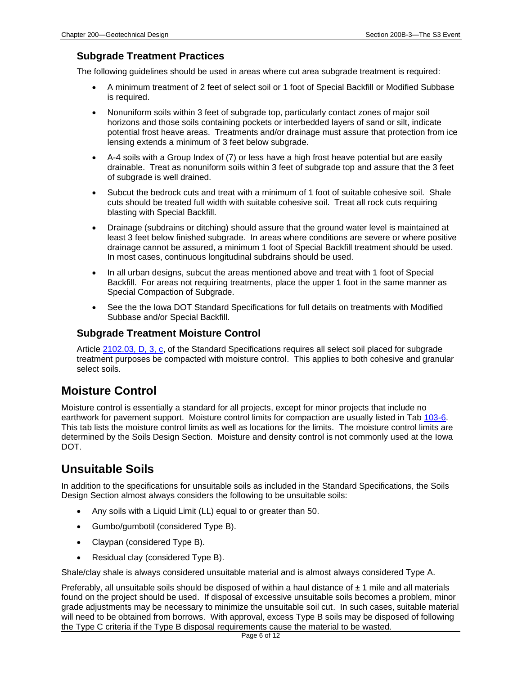#### **Subgrade Treatment Practices**

The following guidelines should be used in areas where cut area subgrade treatment is required:

- A minimum treatment of 2 feet of select soil or 1 foot of Special Backfill or Modified Subbase is required.
- Nonuniform soils within 3 feet of subgrade top, particularly contact zones of major soil horizons and those soils containing pockets or interbedded layers of sand or silt, indicate potential frost heave areas. Treatments and/or drainage must assure that protection from ice lensing extends a minimum of 3 feet below subgrade.
- A-4 soils with a Group Index of (7) or less have a high frost heave potential but are easily drainable. Treat as nonuniform soils within 3 feet of subgrade top and assure that the 3 feet of subgrade is well drained.
- Subcut the bedrock cuts and treat with a minimum of 1 foot of suitable cohesive soil. Shale cuts should be treated full width with suitable cohesive soil. Treat all rock cuts requiring blasting with Special Backfill.
- Drainage (subdrains or ditching) should assure that the ground water level is maintained at least 3 feet below finished subgrade. In areas where conditions are severe or where positive drainage cannot be assured, a minimum 1 foot of Special Backfill treatment should be used. In most cases, continuous longitudinal subdrains should be used.
- In all urban designs, subcut the areas mentioned above and treat with 1 foot of Special Backfill. For areas not requiring treatments, place the upper 1 foot in the same manner as Special Compaction of Subgrade.
- See the the Iowa DOT Standard Specifications for full details on treatments with Modified Subbase and/or Special Backfill.

#### **Subgrade Treatment Moisture Control**

Article [2102.03, D, 3, c,](../../erl/current/GS/content/2102.htm) of the Standard Specifications requires all select soil placed for subgrade treatment purposes be compacted with moisture control. This applies to both cohesive and granular select soils.

#### **Moisture Control**

Moisture control is essentially a standard for all projects, except for minor projects that include no earthwork for pavement support. Moisture control limits for compaction are usually listed in Tab [103-6.](../tnt/PDFsandWebFiles/IndividualPDFs/0103-06.PDF) This tab lists the moisture control limits as well as locations for the limits. The moisture control limits are determined by the Soils Design Section. Moisture and density control is not commonly used at the Iowa DOT.

#### **Unsuitable Soils**

In addition to the specifications for unsuitable soils as included in the Standard Specifications, the Soils Design Section almost always considers the following to be unsuitable soils:

- Any soils with a Liquid Limit (LL) equal to or greater than 50.
- Gumbo/gumbotil (considered Type B).
- Claypan (considered Type B).
- Residual clay (considered Type B).

Shale/clay shale is always considered unsuitable material and is almost always considered Type A.

Preferably, all unsuitable soils should be disposed of within a haul distance of  $\pm$  1 mile and all materials found on the project should be used. If disposal of excessive unsuitable soils becomes a problem, minor grade adjustments may be necessary to minimize the unsuitable soil cut. In such cases, suitable material will need to be obtained from borrows. With approval, excess Type B soils may be disposed of following the Type C criteria if the Type B disposal requirements cause the material to be wasted.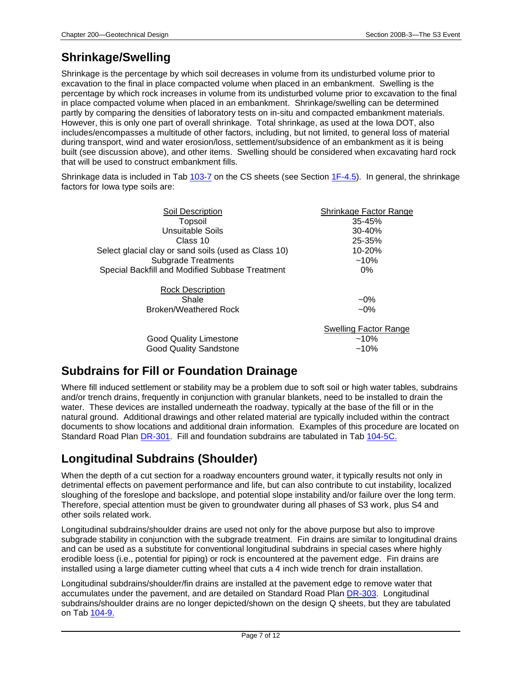### **Shrinkage/Swelling**

Shrinkage is the percentage by which soil decreases in volume from its undisturbed volume prior to excavation to the final in place compacted volume when placed in an embankment. Swelling is the percentage by which rock increases in volume from its undisturbed volume prior to excavation to the final in place compacted volume when placed in an embankment. Shrinkage/swelling can be determined partly by comparing the densities of laboratory tests on in-situ and compacted embankment materials. However, this is only one part of overall shrinkage. Total shrinkage, as used at the Iowa DOT, also includes/encompasses a multitude of other factors, including, but not limited, to general loss of material during transport, wind and water erosion/loss, settlement/subsidence of an embankment as it is being built (see discussion above), and other items. Swelling should be considered when excavating hard rock that will be used to construct embankment fills.

Shrinkage data is included in Tab [103-7](../tnt/PDFsandWebFiles/IndividualPDFs/0103-07.PDF) on the CS sheets (see Section [1F-4.5\)](01F-04.5.pdf). In general, the shrinkage factors for Iowa type soils are:

| Soil Description                                     | Shrinkage Factor Range       |
|------------------------------------------------------|------------------------------|
| <b>Topsoil</b>                                       | $35 - 45%$                   |
| Unsuitable Soils                                     | $30 - 40%$                   |
| Class 10                                             | 25-35%                       |
| Select glacial clay or sand soils (used as Class 10) | 10-20%                       |
| <b>Subgrade Treatments</b>                           | $~10\%$                      |
| Special Backfill and Modified Subbase Treatment      | $0\%$                        |
| <b>Rock Description</b>                              |                              |
| Shale                                                | $-0\%$                       |
| Broken/Weathered Rock                                | $~10\%$                      |
|                                                      | <b>Swelling Factor Range</b> |
| <b>Good Quality Limestone</b>                        | $~10\%$                      |
| <b>Good Quality Sandstone</b>                        | $~10\%$                      |

### **Subdrains for Fill or Foundation Drainage**

Where fill induced settlement or stability may be a problem due to soft soil or high water tables, subdrains and/or trench drains, frequently in conjunction with granular blankets, need to be installed to drain the water. These devices are installed underneath the roadway, typically at the base of the fill or in the natural ground. Additional drawings and other related material are typically included within the contract documents to show locations and additional drain information. Examples of this procedure are located on Standard Road Plan [DR-301.](../SRP/IndividualStandards/dr301.pdf) Fill and foundation subdrains are tabulated in Tab [104-5C.](../tnt/PDFsandWebFiles/IndividualPDFs/0104-05C.PDF)

### **Longitudinal Subdrains (Shoulder)**

When the depth of a cut section for a roadway encounters ground water, it typically results not only in detrimental effects on pavement performance and life, but can also contribute to cut instability, localized sloughing of the foreslope and backslope, and potential slope instability and/or failure over the long term. Therefore, special attention must be given to groundwater during all phases of S3 work, plus S4 and other soils related work.

Longitudinal subdrains/shoulder drains are used not only for the above purpose but also to improve subgrade stability in conjunction with the subgrade treatment. Fin drains are similar to longitudinal drains and can be used as a substitute for conventional longitudinal subdrains in special cases where highly erodible loess (i.e., potential for piping) or rock is encountered at the pavement edge. Fin drains are installed using a large diameter cutting wheel that cuts a 4 inch wide trench for drain installation.

Longitudinal subdrains/shoulder/fin drains are installed at the pavement edge to remove water that accumulates under the pavement, and are detailed on Standard Road Plan [DR-303.](../SRP/IndividualStandards/dr303.pdf) Longitudinal subdrains/shoulder drains are no longer depicted/shown on the design Q sheets, but they are tabulated on Tab [104-9.](../tnt/PDFsandWebFiles/IndividualPDFs/0104-09.PDF)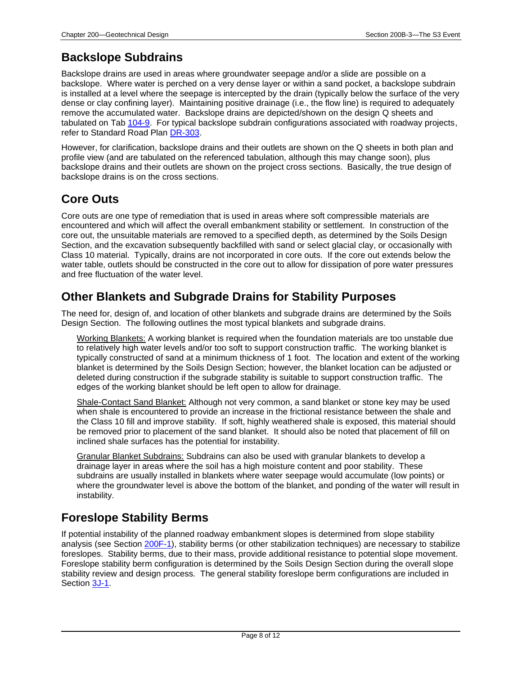### **Backslope Subdrains**

Backslope drains are used in areas where groundwater seepage and/or a slide are possible on a backslope. Where water is perched on a very dense layer or within a sand pocket, a backslope subdrain is installed at a level where the seepage is intercepted by the drain (typically below the surface of the very dense or clay confining layer). Maintaining positive drainage (i.e., the flow line) is required to adequately remove the accumulated water. Backslope drains are depicted/shown on the design Q sheets and tabulated on Tab [104-9.](../tnt/PDFsandWebFiles/IndividualPDFs/0104-09.PDF) For typical backslope subdrain configurations associated with roadway projects, refer to Standard Road Plan [DR-303.](../SRP/IndividualStandards/dr303.pdf)

However, for clarification, backslope drains and their outlets are shown on the Q sheets in both plan and profile view (and are tabulated on the referenced tabulation, although this may change soon), plus backslope drains and their outlets are shown on the project cross sections. Basically, the true design of backslope drains is on the cross sections.

### **Core Outs**

Core outs are one type of remediation that is used in areas where soft compressible materials are encountered and which will affect the overall embankment stability or settlement. In construction of the core out, the unsuitable materials are removed to a specified depth, as determined by the Soils Design Section, and the excavation subsequently backfilled with sand or select glacial clay, or occasionally with Class 10 material. Typically, drains are not incorporated in core outs. If the core out extends below the water table, outlets should be constructed in the core out to allow for dissipation of pore water pressures and free fluctuation of the water level.

#### **Other Blankets and Subgrade Drains for Stability Purposes**

The need for, design of, and location of other blankets and subgrade drains are determined by the Soils Design Section. The following outlines the most typical blankets and subgrade drains.

Working Blankets: A working blanket is required when the foundation materials are too unstable due to relatively high water levels and/or too soft to support construction traffic. The working blanket is typically constructed of sand at a minimum thickness of 1 foot. The location and extent of the working blanket is determined by the Soils Design Section; however, the blanket location can be adjusted or deleted during construction if the subgrade stability is suitable to support construction traffic. The edges of the working blanket should be left open to allow for drainage.

Shale-Contact Sand Blanket: Although not very common, a sand blanket or stone key may be used when shale is encountered to provide an increase in the frictional resistance between the shale and the Class 10 fill and improve stability. If soft, highly weathered shale is exposed, this material should be removed prior to placement of the sand blanket. It should also be noted that placement of fill on inclined shale surfaces has the potential for instability.

Granular Blanket Subdrains: Subdrains can also be used with granular blankets to develop a drainage layer in areas where the soil has a high moisture content and poor stability. These subdrains are usually installed in blankets where water seepage would accumulate (low points) or where the groundwater level is above the bottom of the blanket, and ponding of the water will result in instability.

### **Foreslope Stability Berms**

If potential instability of the planned roadway embankment slopes is determined from slope stability analysis (see Section [200F-1\)](200F-01.pdf), stability berms (or other stabilization techniques) are necessary to stabilize foreslopes. Stability berms, due to their mass, provide additional resistance to potential slope movement. Foreslope stability berm configuration is determined by the Soils Design Section during the overall slope stability review and design process. The general stability foreslope berm configurations are included in Section [3J-1.](03J-01.pdf)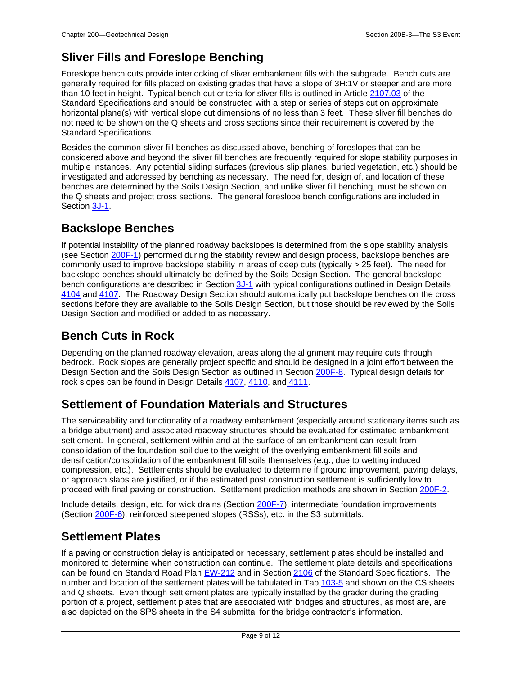### **Sliver Fills and Foreslope Benching**

Foreslope bench cuts provide interlocking of sliver embankment fills with the subgrade. Bench cuts are generally required for fills placed on existing grades that have a slope of 3H:1V or steeper and are more than 10 feet in height. Typical bench cut criteria for sliver fills is outlined in Article [2107.03](../../erl/current/GS/content/2107.htm) of the Standard Specifications and should be constructed with a step or series of steps cut on approximate horizontal plane(s) with vertical slope cut dimensions of no less than 3 feet. These sliver fill benches do not need to be shown on the Q sheets and cross sections since their requirement is covered by the Standard Specifications.

Besides the common sliver fill benches as discussed above, benching of foreslopes that can be considered above and beyond the sliver fill benches are frequently required for slope stability purposes in multiple instances. Any potential sliding surfaces (previous slip planes, buried vegetation, etc.) should be investigated and addressed by benching as necessary. The need for, design of, and location of these benches are determined by the Soils Design Section, and unlike sliver fill benching, must be shown on the Q sheets and project cross sections. The general foreslope bench configurations are included in Section [3J-1.](03J-01.pdf)

### **Backslope Benches**

If potential instability of the planned roadway backslopes is determined from the slope stability analysis (see Section [200F-1\)](200F-01.pdf) performed during the stability review and design process, backslope benches are commonly used to improve backslope stability in areas of deep cuts (typically > 25 feet). The need for backslope benches should ultimately be defined by the Soils Design Section. The general backslope bench configurations are described in Section [3J-1](03J-01.pdf) with typical configurations outlined in Design Details [4104](../tnt/PDFsandWebFiles/IndividualPDFs/4104.pdf) and [4107.](../tnt/PDFsandWebFiles/IndividualPDFs/4107.pdf) The Roadway Design Section should automatically put backslope benches on the cross sections before they are available to the Soils Design Section, but those should be reviewed by the Soils Design Section and modified or added to as necessary.

### **Bench Cuts in Rock**

Depending on the planned roadway elevation, areas along the alignment may require cuts through bedrock. Rock slopes are generally project specific and should be designed in a joint effort between the Design Section and the Soils Design Section as outlined in Section [200F-8.](200F-08.pdf) Typical design details for rock slopes can be found in Design Details [4107,](../tnt/PDFsandWebFiles/IndividualPDFs/4107.pdf) [4110,](../tnt/PDFsandWebFiles/IndividualPDFs/4110.pdf) and [4111.](../tnt/PDFsandWebFiles/IndividualPDFs/4111.pdf)

### **Settlement of Foundation Materials and Structures**

The serviceability and functionality of a roadway embankment (especially around stationary items such as a bridge abutment) and associated roadway structures should be evaluated for estimated embankment settlement. In general, settlement within and at the surface of an embankment can result from consolidation of the foundation soil due to the weight of the overlying embankment fill soils and densification/consolidation of the embankment fill soils themselves (e.g., due to wetting induced compression, etc.). Settlements should be evaluated to determine if ground improvement, paving delays, or approach slabs are justified, or if the estimated post construction settlement is sufficiently low to proceed with final paving or construction. Settlement prediction methods are shown in Section [200F-2.](200F-02.pdf)

Include details, design, etc. for wick drains (Section [200F-7\)](200F-07.pdf), intermediate foundation improvements (Section [200F-6\)](200F-06.pdf), reinforced steepened slopes (RSSs), etc. in the S3 submittals.

### **Settlement Plates**

If a paving or construction delay is anticipated or necessary, settlement plates should be installed and monitored to determine when construction can continue. The settlement plate details and specifications can be found on Standard Road Plan [EW-212](../SRP/IndividualStandards/ew212.pdf) and in Section [2106](../../erl/current/GS/content/2106.htm) of the Standard Specifications. The number and location of the settlement plates will be tabulated in Tab [103-5](../tnt/PDFsandWebFiles/IndividualPDFs/0103-05.PDF) and shown on the CS sheets and Q sheets. Even though settlement plates are typically installed by the grader during the grading portion of a project, settlement plates that are associated with bridges and structures, as most are, are also depicted on the SPS sheets in the S4 submittal for the bridge contractor's information.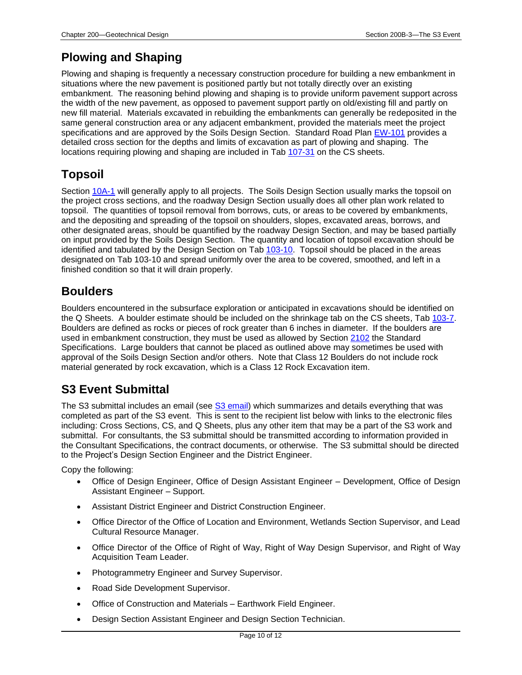### **Plowing and Shaping**

Plowing and shaping is frequently a necessary construction procedure for building a new embankment in situations where the new pavement is positioned partly but not totally directly over an existing embankment. The reasoning behind plowing and shaping is to provide uniform pavement support across the width of the new pavement, as opposed to pavement support partly on old/existing fill and partly on new fill material. Materials excavated in rebuilding the embankments can generally be redeposited in the same general construction area or any adjacent embankment, provided the materials meet the project specifications and are approved by the Soils Design Section. Standard Road Plan [EW-101](../SRP/IndividualStandards/ew101.pdf) provides a detailed cross section for the depths and limits of excavation as part of plowing and shaping. The locations requiring plowing and shaping are included in Tab [107-31](../tnt/PDFsandWebFiles/IndividualPDFs/0107-31.PDF) on the CS sheets.

### **Topsoil**

Section [10A-1](10A-01.pdf) will generally apply to all projects. The Soils Design Section usually marks the topsoil on the project cross sections, and the roadway Design Section usually does all other plan work related to topsoil. The quantities of topsoil removal from borrows, cuts, or areas to be covered by embankments, and the depositing and spreading of the topsoil on shoulders, slopes, excavated areas, borrows, and other designated areas, should be quantified by the roadway Design Section, and may be based partially on input provided by the Soils Design Section. The quantity and location of topsoil excavation should be identified and tabulated by the Design Section on Tab [103-10.](../tnt/PDFsandWebFiles/IndividualPDFs/0103-10.PDF) Topsoil should be placed in the areas designated on Tab 103-10 and spread uniformly over the area to be covered, smoothed, and left in a finished condition so that it will drain properly.

#### **Boulders**

Boulders encountered in the subsurface exploration or anticipated in excavations should be identified on the Q Sheets. A boulder estimate should be included on the shrinkage tab on the CS sheets, Tab [103-7.](../tnt/PDFsandWebFiles/IndividualPDFs/0103-07.PDF) Boulders are defined as rocks or pieces of rock greater than 6 inches in diameter. If the boulders are used in embankment construction, they must be used as allowed by Section [2102](../../erl/current/GS/content/2102.htm) the Standard Specifications. Large boulders that cannot be placed as outlined above may sometimes be used with approval of the Soils Design Section and/or others. Note that Class 12 Boulders do not include rock material generated by rock excavation, which is a Class 12 Rock Excavation item.

### **S3 Event Submittal**

The S3 submittal includes an email (see [S3 email\)](200B-03/S3_Email.PDF) which summarizes and details everything that was completed as part of the S3 event. This is sent to the recipient list below with links to the electronic files including: Cross Sections, CS, and Q Sheets, plus any other item that may be a part of the S3 work and submittal. For consultants, the S3 submittal should be transmitted according to information provided in the Consultant Specifications, the contract documents, or otherwise. The S3 submittal should be directed to the Project's Design Section Engineer and the District Engineer.

Copy the following:

- Office of Design Engineer, Office of Design Assistant Engineer Development, Office of Design Assistant Engineer – Support.
- Assistant District Engineer and District Construction Engineer.
- Office Director of the Office of Location and Environment, Wetlands Section Supervisor, and Lead Cultural Resource Manager.
- Office Director of the Office of Right of Way, Right of Way Design Supervisor, and Right of Way Acquisition Team Leader.
- Photogrammetry Engineer and Survey Supervisor.
- Road Side Development Supervisor.
- Office of Construction and Materials Earthwork Field Engineer.
- Design Section Assistant Engineer and Design Section Technician.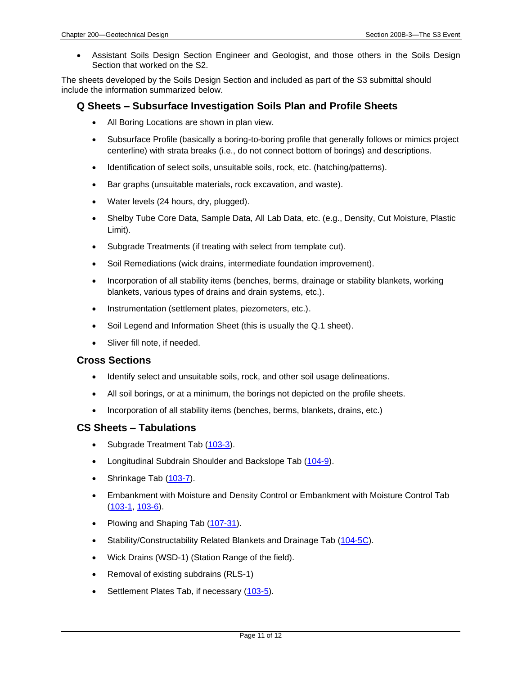• Assistant Soils Design Section Engineer and Geologist, and those others in the Soils Design Section that worked on the S2.

The sheets developed by the Soils Design Section and included as part of the S3 submittal should include the information summarized below.

#### **Q Sheets – Subsurface Investigation Soils Plan and Profile Sheets**

- All Boring Locations are shown in plan view.
- Subsurface Profile (basically a boring-to-boring profile that generally follows or mimics project centerline) with strata breaks (i.e., do not connect bottom of borings) and descriptions.
- Identification of select soils, unsuitable soils, rock, etc. (hatching/patterns).
- Bar graphs (unsuitable materials, rock excavation, and waste).
- Water levels (24 hours, dry, plugged).
- Shelby Tube Core Data, Sample Data, All Lab Data, etc. (e.g., Density, Cut Moisture, Plastic Limit).
- Subgrade Treatments (if treating with select from template cut).
- Soil Remediations (wick drains, intermediate foundation improvement).
- Incorporation of all stability items (benches, berms, drainage or stability blankets, working blankets, various types of drains and drain systems, etc.).
- Instrumentation (settlement plates, piezometers, etc.).
- Soil Legend and Information Sheet (this is usually the Q.1 sheet).
- Sliver fill note, if needed.

#### **Cross Sections**

- Identify select and unsuitable soils, rock, and other soil usage delineations.
- All soil borings, or at a minimum, the borings not depicted on the profile sheets.
- Incorporation of all stability items (benches, berms, blankets, drains, etc.)

#### **CS Sheets – Tabulations**

- Subgrade Treatment Tab [\(103-3\)](../tnt/PDFsandWebFiles/IndividualPDFs/0103-03.PDF).
- Longitudinal Subdrain Shoulder and Backslope Tab [\(104-9\)](../tnt/PDFsandWebFiles/IndividualPDFs/0104-09.PDF).
- Shrinkage Tab [\(103-7\)](../tnt/PDFsandWebFiles/IndividualPDFs/0103-07.PDF).
- Embankment with Moisture and Density Control or Embankment with Moisture Control Tab [\(103-1,](../tnt/PDFsandWebFiles/IndividualPDFs/0103-01.PDF) [103-6\)](../tnt/PDFsandWebFiles/IndividualPDFs/0103-06.PDF).
- Plowing and Shaping Tab [\(107-31\)](../tnt/PDFsandWebFiles/IndividualPDFs/0107-31.PDF).
- Stability/Constructability Related Blankets and Drainage Tab [\(104-5C\)](../tnt/PDFsandWebFiles/IndividualPDFs/0104-05C.PDF).
- Wick Drains (WSD-1) (Station Range of the field).
- Removal of existing subdrains (RLS-1)
- Settlement Plates Tab, if necessary [\(103-5\)](../tnt/PDFsandWebFiles/IndividualPDFs/0103-05.PDF).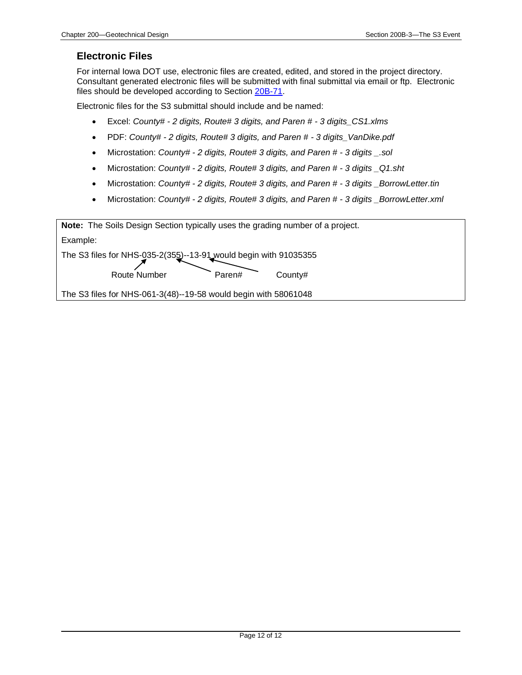#### **Electronic Files**

For internal Iowa DOT use, electronic files are created, edited, and stored in the project directory. Consultant generated electronic files will be submitted with final submittal via email or ftp. Electronic files should be developed according to Section [20B-71.](20B-71.pdf)

Electronic files for the S3 submittal should include and be named:

- Excel: *County# - 2 digits, Route# 3 digits, and Paren # - 3 digits\_CS1.xlms*
- PDF: *County# - 2 digits, Route# 3 digits, and Paren # - 3 digits\_VanDike.pdf*
- Microstation: *County# - 2 digits, Route# 3 digits, and Paren # - 3 digits \_.sol*
- Microstation: *County# - 2 digits, Route# 3 digits, and Paren # - 3 digits \_Q1.sht*
- Microstation: *County# - 2 digits, Route# 3 digits, and Paren # - 3 digits \_BorrowLetter.tin*
- Microstation: *County# - 2 digits, Route# 3 digits, and Paren # - 3 digits \_BorrowLetter.xml*

**Note:** The Soils Design Section typically uses the grading number of a project. Example: The S3 files for NHS-035-2(355)--13-91 would begin with 91035355 Route Number Paren# County#

The S3 files for NHS-061-3(48)--19-58 would begin with 58061048